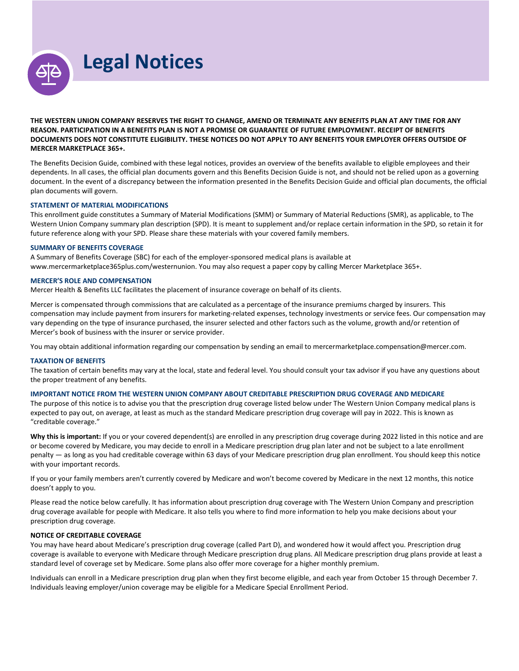**Legal Notices**

**THE WESTERN UNION COMPANY RESERVES THE RIGHT TO CHANGE, AMEND OR TERMINATE ANY BENEFITS PLAN AT ANY TIME FOR ANY REASON. PARTICIPATION IN A BENEFITS PLAN IS NOT A PROMISE OR GUARANTEE OF FUTURE EMPLOYMENT. RECEIPT OF BENEFITS DOCUMENTS DOES NOT CONSTITUTE ELIGIBILITY. THESE NOTICES DO NOT APPLY TO ANY BENEFITS YOUR EMPLOYER OFFERS OUTSIDE OF MERCER MARKETPLACE 365+.**

The Benefits Decision Guide, combined with these legal notices, provides an overview of the benefits available to eligible employees and their dependents. In all cases, the official plan documents govern and this Benefits Decision Guide is not, and should not be relied upon as a governing document. In the event of a discrepancy between the information presented in the Benefits Decision Guide and official plan documents, the official plan documents will govern.

## **STATEMENT OF MATERIAL MODIFICATIONS**

This enrollment guide constitutes a Summary of Material Modifications (SMM) or Summary of Material Reductions (SMR), as applicable, to The Western Union Company summary plan description (SPD). It is meant to supplement and/or replace certain information in the SPD, so retain it for future reference along with your SPD. Please share these materials with your covered family members.

#### **SUMMARY OF BENEFITS COVERAGE**

A Summary of Benefits Coverage (SBC) for each of the employer-sponsored medical plans is available at www.mercermarketplace365plus.com/westernunion. You may also request a paper copy by calling Mercer Marketplace 365+.

#### **MERCER'S ROLE AND COMPENSATION**

Mercer Health & Benefits LLC facilitates the placement of insurance coverage on behalf of its clients.

Mercer is compensated through commissions that are calculated as a percentage of the insurance premiums charged by insurers. This compensation may include payment from insurers for marketing-related expenses, technology investments or service fees. Our compensation may vary depending on the type of insurance purchased, the insurer selected and other factors such as the volume, growth and/or retention of Mercer's book of business with the insurer or service provider.

You may obtain additional information regarding our compensation by sending an email to mercermarketplace.compensation@mercer.com.

#### **TAXATION OF BENEFITS**

The taxation of certain benefits may vary at the local, state and federal level. You should consult your tax advisor if you have any questions about the proper treatment of any benefits.

# **IMPORTANT NOTICE FROM THE WESTERN UNION COMPANY ABOUT CREDITABLE PRESCRIPTION DRUG COVERAGE AND MEDICARE**

The purpose of this notice is to advise you that the prescription drug coverage listed below under The Western Union Company medical plans is expected to pay out, on average, at least as much as the standard Medicare prescription drug coverage will pay in 2022. This is known as "creditable coverage."

**Why this is important:** If you or your covered dependent(s) are enrolled in any prescription drug coverage during 2022 listed in this notice and are or become covered by Medicare, you may decide to enroll in a Medicare prescription drug plan later and not be subject to a late enrollment penalty — as long as you had creditable coverage within 63 days of your Medicare prescription drug plan enrollment. You should keep this notice with your important records.

If you or your family members aren't currently covered by Medicare and won't become covered by Medicare in the next 12 months, this notice doesn't apply to you.

Please read the notice below carefully. It has information about prescription drug coverage with The Western Union Company and prescription drug coverage available for people with Medicare. It also tells you where to find more information to help you make decisions about your prescription drug coverage.

#### **NOTICE OF CREDITABLE COVERAGE**

You may have heard about Medicare's prescription drug coverage (called Part D), and wondered how it would affect you. Prescription drug coverage is available to everyone with Medicare through Medicare prescription drug plans. All Medicare prescription drug plans provide at least a standard level of coverage set by Medicare. Some plans also offer more coverage for a higher monthly premium.

Individuals can enroll in a Medicare prescription drug plan when they first become eligible, and each year from October 15 through December 7. Individuals leaving employer/union coverage may be eligible for a Medicare Special Enrollment Period.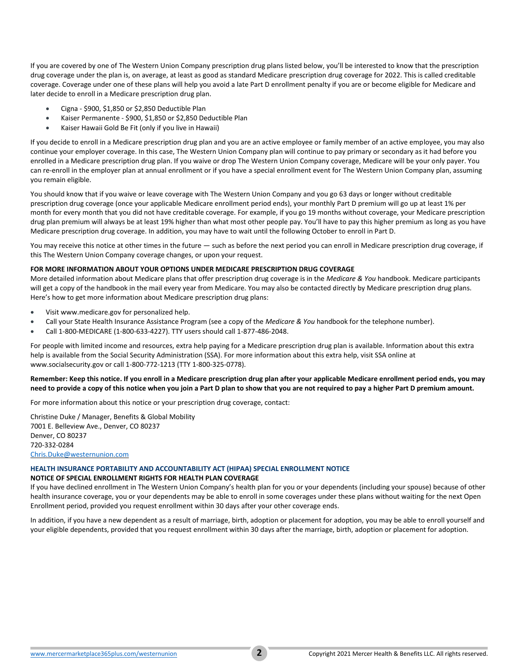If you are covered by one of The Western Union Company prescription drug plans listed below, you'll be interested to know that the prescription drug coverage under the plan is, on average, at least as good as standard Medicare prescription drug coverage for 2022. This is called creditable coverage. Coverage under one of these plans will help you avoid a late Part D enrollment penalty if you are or become eligible for Medicare and later decide to enroll in a Medicare prescription drug plan.

- Cigna \$900, \$1,850 or \$2,850 Deductible Plan
- Kaiser Permanente \$900, \$1,850 or \$2,850 Deductible Plan
- Kaiser Hawaii Gold Be Fit (only if you live in Hawaii)

If you decide to enroll in a Medicare prescription drug plan and you are an active employee or family member of an active employee, you may also continue your employer coverage. In this case, The Western Union Company plan will continue to pay primary or secondary as it had before you enrolled in a Medicare prescription drug plan. If you waive or drop The Western Union Company coverage, Medicare will be your only payer. You can re-enroll in the employer plan at annual enrollment or if you have a special enrollment event for The Western Union Company plan, assuming you remain eligible.

You should know that if you waive or leave coverage with The Western Union Company and you go 63 days or longer without creditable prescription drug coverage (once your applicable Medicare enrollment period ends), your monthly Part D premium will go up at least 1% per month for every month that you did not have creditable coverage. For example, if you go 19 months without coverage, your Medicare prescription drug plan premium will always be at least 19% higher than what most other people pay. You'll have to pay this higher premium as long as you have Medicare prescription drug coverage. In addition, you may have to wait until the following October to enroll in Part D.

You may receive this notice at other times in the future — such as before the next period you can enroll in Medicare prescription drug coverage, if this The Western Union Company coverage changes, or upon your request.

## **FOR MORE INFORMATION ABOUT YOUR OPTIONS UNDER MEDICARE PRESCRIPTION DRUG COVERAGE**

More detailed information about Medicare plans that offer prescription drug coverage is in the *Medicare & You* handbook. Medicare participants will get a copy of the handbook in the mail every year from Medicare. You may also be contacted directly by Medicare prescription drug plans. Here's how to get more information about Medicare prescription drug plans:

- Visit www.medicare.gov for personalized help.
- Call your State Health Insurance Assistance Program (see a copy of the *Medicare & You* handbook for the telephone number).
- Call 1-800-MEDICARE (1-800-633-4227). TTY users should call 1-877-486-2048.

For people with limited income and resources, extra help paying for a Medicare prescription drug plan is available. Information about this extra help is available from the Social Security Administration (SSA). For more information about this extra help, visit SSA online at www.socialsecurity.gov or call 1-800-772-1213 (TTY 1-800-325-0778).

# **Remember: Keep this notice. If you enroll in a Medicare prescription drug plan after your applicable Medicare enrollment period ends, you may need to provide a copy of this notice when you join a Part D plan to show that you are not required to pay a higher Part D premium amount.**

For more information about this notice or your prescription drug coverage, contact:

Christine Duke / Manager, Benefits & Global Mobility 7001 E. Belleview Ave., Denver, CO 80237 Denver, CO 80237 720-332-0284 [Chris.Duke@westernunion.com](mailto:Chris.Duke@westernunion.com)

## **HEALTH INSURANCE PORTABILITY AND ACCOUNTABILITY ACT (HIPAA) SPECIAL ENROLLMENT NOTICE**

## **NOTICE OF SPECIAL ENROLLMENT RIGHTS FOR HEALTH PLAN COVERAGE**

If you have declined enrollment in The Western Union Company's health plan for you or your dependents (including your spouse) because of other health insurance coverage, you or your dependents may be able to enroll in some coverages under these plans without waiting for the next Open Enrollment period, provided you request enrollment within 30 days after your other coverage ends.

In addition, if you have a new dependent as a result of marriage, birth, adoption or placement for adoption, you may be able to enroll yourself and your eligible dependents, provided that you request enrollment within 30 days after the marriage, birth, adoption or placement for adoption.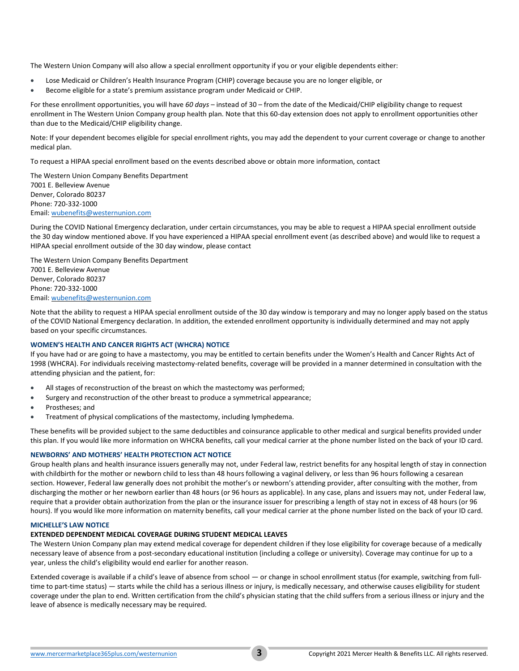The Western Union Company will also allow a special enrollment opportunity if you or your eligible dependents either:

- Lose Medicaid or Children's Health Insurance Program (CHIP) coverage because you are no longer eligible, or
- Become eligible for a state's premium assistance program under Medicaid or CHIP.

For these enrollment opportunities, you will have *60 days* – instead of 30 – from the date of the Medicaid/CHIP eligibility change to request enrollment in The Western Union Company group health plan. Note that this 60-day extension does not apply to enrollment opportunities other than due to the Medicaid/CHIP eligibility change.

Note: If your dependent becomes eligible for special enrollment rights, you may add the dependent to your current coverage or change to another medical plan.

To request a HIPAA special enrollment based on the events described above or obtain more information, contact

The Western Union Company Benefits Department 7001 E. Belleview Avenue Denver, Colorado 80237 Phone: 720-332-1000 Email[: wubenefits@westernunion.com](mailto:wubenefits@westernunion.com)

During the COVID National Emergency declaration, under certain circumstances, you may be able to request a HIPAA special enrollment outside the 30 day window mentioned above. If you have experienced a HIPAA special enrollment event (as described above) and would like to request a HIPAA special enrollment outside of the 30 day window, please contact

The Western Union Company Benefits Department 7001 E. Belleview Avenue Denver, Colorado 80237 Phone: 720-332-1000 Email[: wubenefits@westernunion.com](mailto:wubenefits@westernunion.com)

Note that the ability to request a HIPAA special enrollment outside of the 30 day window is temporary and may no longer apply based on the status of the COVID National Emergency declaration. In addition, the extended enrollment opportunity is individually determined and may not apply based on your specific circumstances.

# **WOMEN'S HEALTH AND CANCER RIGHTS ACT (WHCRA) NOTICE**

If you have had or are going to have a mastectomy, you may be entitled to certain benefits under the Women's Health and Cancer Rights Act of 1998 (WHCRA). For individuals receiving mastectomy-related benefits, coverage will be provided in a manner determined in consultation with the attending physician and the patient, for:

- All stages of reconstruction of the breast on which the mastectomy was performed;
- Surgery and reconstruction of the other breast to produce a symmetrical appearance;
- Prostheses; and
- Treatment of physical complications of the mastectomy, including lymphedema.

These benefits will be provided subject to the same deductibles and coinsurance applicable to other medical and surgical benefits provided under this plan. If you would like more information on WHCRA benefits, call your medical carrier at the phone number listed on the back of your ID card.

## **NEWBORNS' AND MOTHERS' HEALTH PROTECTION ACT NOTICE**

Group health plans and health insurance issuers generally may not, under Federal law, restrict benefits for any hospital length of stay in connection with childbirth for the mother or newborn child to less than 48 hours following a vaginal delivery, or less than 96 hours following a cesarean section. However, Federal law generally does not prohibit the mother's or newborn's attending provider, after consulting with the mother, from discharging the mother or her newborn earlier than 48 hours (or 96 hours as applicable). In any case, plans and issuers may not, under Federal law, require that a provider obtain authorization from the plan or the insurance issuer for prescribing a length of stay not in excess of 48 hours (or 96 hours). If you would like more information on maternity benefits, call your medical carrier at the phone number listed on the back of your ID card.

## **MICHELLE'S LAW NOTICE**

## **EXTENDED DEPENDENT MEDICAL COVERAGE DURING STUDENT MEDICAL LEAVES**

The Western Union Company plan may extend medical coverage for dependent children if they lose eligibility for coverage because of a medically necessary leave of absence from a post-secondary educational institution (including a college or university). Coverage may continue for up to a year, unless the child's eligibility would end earlier for another reason.

Extended coverage is available if a child's leave of absence from school — or change in school enrollment status (for example, switching from fulltime to part-time status) — starts while the child has a serious illness or injury, is medically necessary, and otherwise causes eligibility for student coverage under the plan to end. Written certification from the child's physician stating that the child suffers from a serious illness or injury and the leave of absence is medically necessary may be required.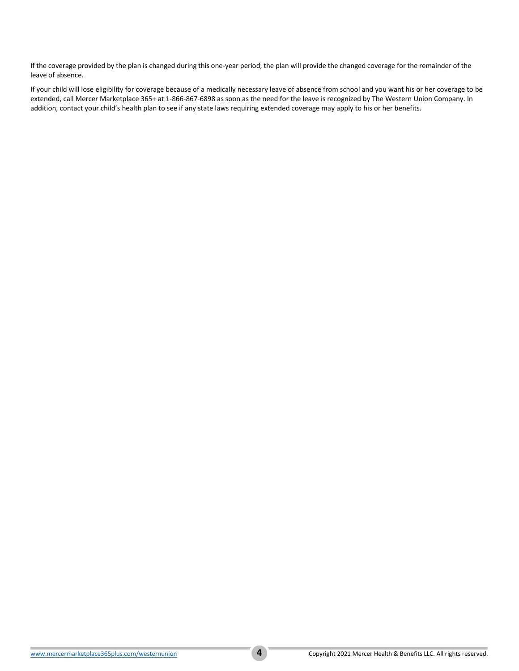If the coverage provided by the plan is changed during this one-year period, the plan will provide the changed coverage for the remainder of the leave of absence.

If your child will lose eligibility for coverage because of a medically necessary leave of absence from school and you want his or her coverage to be extended, call Mercer Marketplace 365+ at 1-866-867-6898 as soon as the need for the leave is recognized by The Western Union Company. In addition, contact your child's health plan to see if any state laws requiring extended coverage may apply to his or her benefits.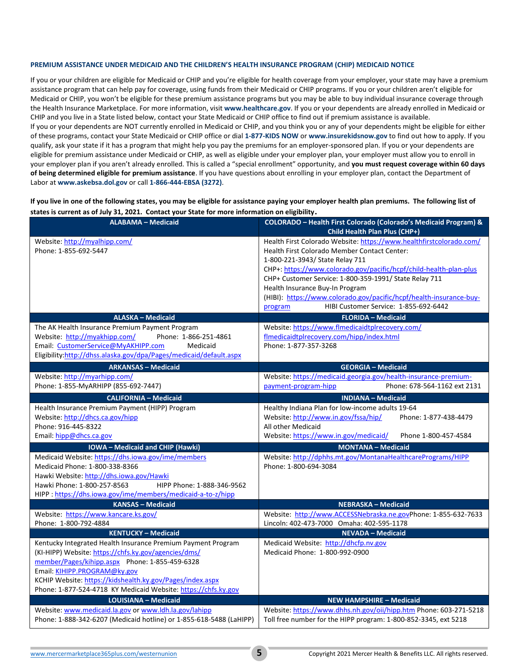## **PREMIUM ASSISTANCE UNDER MEDICAID AND THE CHILDREN'S HEALTH INSURANCE PROGRAM (CHIP) MEDICAID NOTICE**

If you or your children are eligible for Medicaid or CHIP and you're eligible for health coverage from your employer, your state may have a premium assistance program that can help pay for coverage, using funds from their Medicaid or CHIP programs. If you or your children aren't eligible for Medicaid or CHIP, you won't be eligible for these premium assistance programs but you may be able to buy individual insurance coverage through the Health Insurance Marketplace. For more information, visit **[www.healthcare.gov](http://www.healthcare.gov/)**. If you or your dependents are already enrolled in Medicaid or CHIP and you live in a State listed below, contact your State Medicaid or CHIP office to find out if premium assistance is available. If you or your dependents are NOT currently enrolled in Medicaid or CHIP, and you think you or any of your dependents might be eligible for either of these programs, contact your State Medicaid or CHIP office or dial **1-877-KIDS NOW** or **[www.insurekidsnow.gov](http://www.insurekidsnow.gov/)** to find out how to apply. If you qualify, ask your state if it has a program that might help you pay the premiums for an employer-sponsored plan. If you or your dependents are eligible for premium assistance under Medicaid or CHIP, as well as eligible under your employer plan, your employer must allow you to enroll in your employer plan if you aren't already enrolled. This is called a "special enrollment" opportunity, and **you must request coverage within 60 days of being determined eligible for premium assistance**. If you have questions about enrolling in your employer plan, contact the Department of Labor at **[www.askebsa.dol.gov](http://www.askebsa.dol.gov/)** or call **1-866-444-EBSA (3272)**.

**If you live in one of the following states, you may be eligible for assistance paying your employer health plan premiums. The following list of states is current as of July 31, 2021. Contact your State for more information on eligibility.**

| <b>ALABAMA - Medicaid</b>                                                                                                                                                                                                                                                                                                             | COLORADO - Health First Colorado (Colorado's Medicaid Program) &<br>Child Health Plan Plus (CHP+)                                                                                                                                                                                                                                                                                                                                                    |
|---------------------------------------------------------------------------------------------------------------------------------------------------------------------------------------------------------------------------------------------------------------------------------------------------------------------------------------|------------------------------------------------------------------------------------------------------------------------------------------------------------------------------------------------------------------------------------------------------------------------------------------------------------------------------------------------------------------------------------------------------------------------------------------------------|
| Website: http://myalhipp.com/<br>Phone: 1-855-692-5447                                                                                                                                                                                                                                                                                | Health First Colorado Website: https://www.healthfirstcolorado.com/<br>Health First Colorado Member Contact Center:<br>1-800-221-3943/ State Relay 711<br>CHP+: https://www.colorado.gov/pacific/hcpf/child-health-plan-plus<br>CHP+ Customer Service: 1-800-359-1991/ State Relay 711<br>Health Insurance Buy-In Program<br>(HIBI): https://www.colorado.gov/pacific/hcpf/health-insurance-buy-<br>HIBI Customer Service: 1-855-692-6442<br>program |
| <b>ALASKA - Medicaid</b>                                                                                                                                                                                                                                                                                                              | <b>FLORIDA - Medicaid</b>                                                                                                                                                                                                                                                                                                                                                                                                                            |
| The AK Health Insurance Premium Payment Program<br>Website: http://myakhipp.com/<br>Phone: 1-866-251-4861<br>Email: CustomerService@MyAKHIPP.com<br>Medicaid<br>Eligibility:http://dhss.alaska.gov/dpa/Pages/medicaid/default.aspx                                                                                                    | Website: https://www.flmedicaidtplrecovery.com/<br>flmedicaidtplrecovery.com/hipp/index.html<br>Phone: 1-877-357-3268                                                                                                                                                                                                                                                                                                                                |
| <b>ARKANSAS - Medicaid</b>                                                                                                                                                                                                                                                                                                            | <b>GEORGIA - Medicaid</b>                                                                                                                                                                                                                                                                                                                                                                                                                            |
| Website: http://myarhipp.com/<br>Phone: 1-855-MyARHIPP (855-692-7447)                                                                                                                                                                                                                                                                 | Website: https://medicaid.georgia.gov/health-insurance-premium-<br>Phone: 678-564-1162 ext 2131<br>payment-program-hipp                                                                                                                                                                                                                                                                                                                              |
| <b>CALIFORNIA - Medicaid</b>                                                                                                                                                                                                                                                                                                          | <b>INDIANA - Medicaid</b>                                                                                                                                                                                                                                                                                                                                                                                                                            |
| Health Insurance Premium Payment (HIPP) Program<br>Website: http://dhcs.ca.gov/hipp<br>Phone: 916-445-8322<br>Email: hipp@dhcs.ca.gov                                                                                                                                                                                                 | Healthy Indiana Plan for low-income adults 19-64<br>Website: http://www.in.gov/fssa/hip/<br>Phone: 1-877-438-4479<br>All other Medicaid<br>Website: https://www.in.gov/medicaid/<br>Phone 1-800-457-4584                                                                                                                                                                                                                                             |
| <b>IOWA</b> - Medicaid and CHIP (Hawki)                                                                                                                                                                                                                                                                                               | <b>MONTANA - Medicaid</b>                                                                                                                                                                                                                                                                                                                                                                                                                            |
| Medicaid Website: https://dhs.iowa.gov/ime/members<br>Medicaid Phone: 1-800-338-8366<br>Hawki Website: http://dhs.iowa.gov/Hawki<br>Hawki Phone: 1-800-257-8563<br>HIPP Phone: 1-888-346-9562<br>HIPP: https://dhs.iowa.gov/ime/members/medicaid-a-to-z/hipp                                                                          | Website: http://dphhs.mt.gov/MontanaHealthcarePrograms/HIPP<br>Phone: 1-800-694-3084                                                                                                                                                                                                                                                                                                                                                                 |
| <b>KANSAS - Medicaid</b>                                                                                                                                                                                                                                                                                                              | <b>NEBRASKA - Medicaid</b>                                                                                                                                                                                                                                                                                                                                                                                                                           |
| Website: https://www.kancare.ks.gov/<br>Phone: 1-800-792-4884                                                                                                                                                                                                                                                                         | Website: http://www.ACCESSNebraska.ne.govPhone: 1-855-632-7633<br>Lincoln: 402-473-7000 Omaha: 402-595-1178                                                                                                                                                                                                                                                                                                                                          |
| <b>KENTUCKY - Medicaid</b>                                                                                                                                                                                                                                                                                                            | <b>NEVADA - Medicaid</b>                                                                                                                                                                                                                                                                                                                                                                                                                             |
| Kentucky Integrated Health Insurance Premium Payment Program<br>(KI-HIPP) Website: https://chfs.ky.gov/agencies/dms/<br>member/Pages/kihipp.aspx Phone: 1-855-459-6328<br>Email: KIHIPP.PROGRAM@ky.gov<br>KCHIP Website: https://kidshealth.ky.gov/Pages/index.aspx<br>Phone: 1-877-524-4718 KY Medicaid Website: https://chfs.ky.gov | Medicaid Website: http://dhcfp.nv.gov<br>Medicaid Phone: 1-800-992-0900                                                                                                                                                                                                                                                                                                                                                                              |
| <b>LOUISIANA - Medicaid</b>                                                                                                                                                                                                                                                                                                           | <b>NEW HAMPSHIRE - Medicaid</b>                                                                                                                                                                                                                                                                                                                                                                                                                      |
| Website: www.medicaid.la.gov or www.ldh.la.gov/lahipp<br>Phone: 1-888-342-6207 (Medicaid hotline) or 1-855-618-5488 (LaHIPP)                                                                                                                                                                                                          | Website: https://www.dhhs.nh.gov/oii/hipp.htm Phone: 603-271-5218<br>Toll free number for the HIPP program: 1-800-852-3345, ext 5218                                                                                                                                                                                                                                                                                                                 |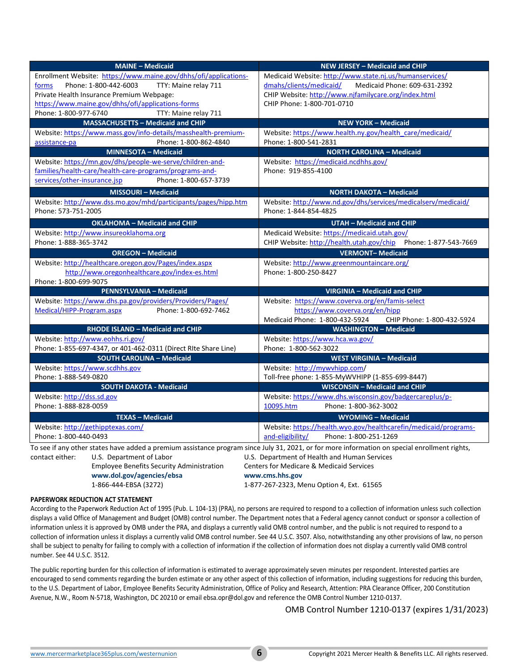| <b>MAINE - Medicaid</b>                                                                                                                       | NEW JERSEY - Medicaid and CHIP                                   |
|-----------------------------------------------------------------------------------------------------------------------------------------------|------------------------------------------------------------------|
| Enrollment Website: https://www.maine.gov/dhhs/ofi/applications-                                                                              | Medicaid Website: http://www.state.nj.us/humanservices/          |
| TTY: Maine relay 711<br>Phone: 1-800-442-6003<br>forms                                                                                        | Medicaid Phone: 609-631-2392<br>dmahs/clients/medicaid/          |
| Private Health Insurance Premium Webpage:                                                                                                     | CHIP Website: http://www.njfamilycare.org/index.html             |
| https://www.maine.gov/dhhs/ofi/applications-forms                                                                                             | CHIP Phone: 1-800-701-0710                                       |
| Phone: 1-800-977-6740<br>TTY: Maine relay 711                                                                                                 |                                                                  |
| <b>MASSACHUSETTS - Medicaid and CHIP</b>                                                                                                      | <b>NEW YORK - Medicaid</b>                                       |
| Website: https://www.mass.gov/info-details/masshealth-premium-                                                                                | Website: https://www.health.ny.gov/health care/medicaid/         |
| Phone: 1-800-862-4840<br>assistance-pa                                                                                                        | Phone: 1-800-541-2831                                            |
| <b>MINNESOTA - Medicaid</b>                                                                                                                   | <b>NORTH CAROLINA - Medicaid</b>                                 |
| Website: https://mn.gov/dhs/people-we-serve/children-and-                                                                                     | Website: https://medicaid.ncdhhs.gov/                            |
| families/health-care/health-care-programs/programs-and-                                                                                       | Phone: 919-855-4100                                              |
| services/other-insurance.jsp<br>Phone: 1-800-657-3739                                                                                         |                                                                  |
| <b>MISSOURI - Medicaid</b>                                                                                                                    | <b>NORTH DAKOTA - Medicaid</b>                                   |
| Website: http://www.dss.mo.gov/mhd/participants/pages/hipp.htm                                                                                | Website: http://www.nd.gov/dhs/services/medicalserv/medicaid/    |
| Phone: 573-751-2005                                                                                                                           | Phone: 1-844-854-4825                                            |
| <b>OKLAHOMA - Medicaid and CHIP</b>                                                                                                           | <b>UTAH - Medicaid and CHIP</b>                                  |
| Website: http://www.insureoklahoma.org                                                                                                        | Medicaid Website: https://medicaid.utah.gov/                     |
| Phone: 1-888-365-3742                                                                                                                         | CHIP Website: http://health.utah.gov/chip Phone: 1-877-543-7669  |
| <b>OREGON - Medicaid</b>                                                                                                                      | <b>VERMONT-Medicaid</b>                                          |
| Website: http://healthcare.oregon.gov/Pages/index.aspx                                                                                        | Website: http://www.greenmountaincare.org/                       |
| http://www.oregonhealthcare.gov/index-es.html                                                                                                 | Phone: 1-800-250-8427                                            |
| Phone: 1-800-699-9075                                                                                                                         |                                                                  |
| <b>PENNSYLVANIA - Medicaid</b>                                                                                                                | VIRGINIA - Medicaid and CHIP                                     |
| Website: https://www.dhs.pa.gov/providers/Providers/Pages/                                                                                    | Website: https://www.coverva.org/en/famis-select                 |
| Medical/HIPP-Program.aspx<br>Phone: 1-800-692-7462                                                                                            | https://www.coverva.org/en/hipp                                  |
|                                                                                                                                               | Medicaid Phone: 1-800-432-5924<br>CHIP Phone: 1-800-432-5924     |
| RHODE ISLAND - Medicaid and CHIP                                                                                                              | <b>WASHINGTON - Medicaid</b>                                     |
| Website: http://www.eohhs.ri.gov/                                                                                                             | Website: https://www.hca.wa.gov/                                 |
| Phone: 1-855-697-4347, or 401-462-0311 (Direct RIte Share Line)                                                                               | Phone: 1-800-562-3022                                            |
| <b>SOUTH CAROLINA - Medicaid</b>                                                                                                              | <b>WEST VIRGINIA - Medicaid</b>                                  |
| Website: https://www.scdhhs.gov                                                                                                               | Website: http://mywvhipp.com/                                    |
| Phone: 1-888-549-0820                                                                                                                         | Toll-free phone: 1-855-MyWVHIPP (1-855-699-8447)                 |
| <b>SOUTH DAKOTA - Medicaid</b>                                                                                                                | <b>WISCONSIN - Medicaid and CHIP</b>                             |
| Website: http://dss.sd.gov                                                                                                                    | Website: https://www.dhs.wisconsin.gov/badgercareplus/p-         |
| Phone: 1-888-828-0059                                                                                                                         | Phone: 1-800-362-3002<br>10095.htm                               |
| <b>TEXAS - Medicaid</b>                                                                                                                       | <b>WYOMING - Medicaid</b>                                        |
| Website: http://gethipptexas.com/                                                                                                             | Website: https://health.wyo.gov/healthcarefin/medicaid/programs- |
| Phone: 1-800-440-0493                                                                                                                         | and-eligibility/<br>Phone: 1-800-251-1269                        |
| To see if any other states have added a premium assistance program since July 31, 2021, or for more information on special enrollment rights, |                                                                  |

contact either: U.S. Department of Labor U.S. Department of Health and Human Services Employee Benefits Security Administration Centers for Medicare & Medicaid Services

**[www.dol.gov/agencies/ebsa](https://www.dol.gov/agencies/ebsa) [www.cms.hhs.gov](http://www.cms.hhs.gov/)**

1-866-444-EBSA (3272) 1-877-267-2323, Menu Option 4, Ext. 61565

## **PAPERWORK REDUCTION ACT STATEMENT**

According to the Paperwork Reduction Act of 1995 (Pub. L. 104-13) (PRA), no persons are required to respond to a collection of information unless such collection displays a valid Office of Management and Budget (OMB) control number. The Department notes that a Federal agency cannot conduct or sponsor a collection of information unless it is approved by OMB under the PRA, and displays a currently valid OMB control number, and the public is not required to respond to a collection of information unless it displays a currently valid OMB control number. See 44 U.S.C. 3507. Also, notwithstanding any other provisions of law, no person shall be subject to penalty for failing to comply with a collection of information if the collection of information does not display a currently valid OMB control number. See 44 U.S.C. 3512.

The public reporting burden for this collection of information is estimated to average approximately seven minutes per respondent. Interested parties are encouraged to send comments regarding the burden estimate or any other aspect of this collection of information, including suggestions for reducing this burden, to the U.S. Department of Labor, Employee Benefits Security Administration, Office of Policy and Research, Attention: PRA Clearance Officer, 200 Constitution Avenue, N.W., Room N-5718, Washington, DC 20210 or email ebsa.opr@dol.gov and reference the OMB Control Number 1210-0137.

OMB Control Number 1210-0137 (expires 1/31/2023)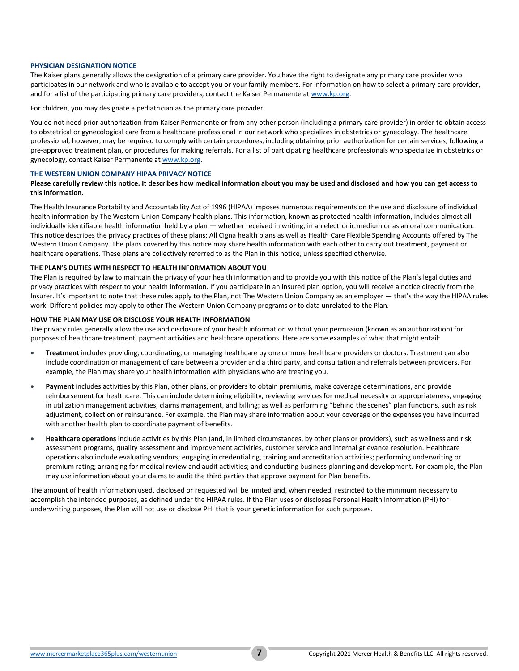#### **PHYSICIAN DESIGNATION NOTICE**

The Kaiser plans generally allows the designation of a primary care provider. You have the right to designate any primary care provider who participates in our network and who is available to accept you or your family members. For information on how to select a primary care provider, and for a list of the participating primary care providers, contact the Kaiser Permanente a[t www.kp.org.](http://www.kp.org/)

For children, you may designate a pediatrician as the primary care provider.

You do not need prior authorization from Kaiser Permanente or from any other person (including a primary care provider) in order to obtain access to obstetrical or gynecological care from a healthcare professional in our network who specializes in obstetrics or gynecology. The healthcare professional, however, may be required to comply with certain procedures, including obtaining prior authorization for certain services, following a pre-approved treatment plan, or procedures for making referrals. For a list of participating healthcare professionals who specialize in obstetrics or gynecology, contact Kaiser Permanente a[t www.kp.org.](http://www.kp.org/)

#### **THE WESTERN UNION COMPANY HIPAA PRIVACY NOTICE**

## **Please carefully review this notice. It describes how medical information about you may be used and disclosed and how you can get access to this information.**

The Health Insurance Portability and Accountability Act of 1996 (HIPAA) imposes numerous requirements on the use and disclosure of individual health information by The Western Union Company health plans. This information, known as protected health information, includes almost all individually identifiable health information held by a plan — whether received in writing, in an electronic medium or as an oral communication. This notice describes the privacy practices of these plans: All Cigna health plans as well as Health Care Flexible Spending Accounts offered by The Western Union Company. The plans covered by this notice may share health information with each other to carry out treatment, payment or healthcare operations. These plans are collectively referred to as the Plan in this notice, unless specified otherwise.

#### **THE PLAN'S DUTIES WITH RESPECT TO HEALTH INFORMATION ABOUT YOU**

The Plan is required by law to maintain the privacy of your health information and to provide you with this notice of the Plan's legal duties and privacy practices with respect to your health information. If you participate in an insured plan option, you will receive a notice directly from the Insurer. It's important to note that these rules apply to the Plan, not The Western Union Company as an employer — that's the way the HIPAA rules work. Different policies may apply to other The Western Union Company programs or to data unrelated to the Plan.

#### **HOW THE PLAN MAY USE OR DISCLOSE YOUR HEALTH INFORMATION**

The privacy rules generally allow the use and disclosure of your health information without your permission (known as an authorization) for purposes of healthcare treatment, payment activities and healthcare operations. Here are some examples of what that might entail:

- **Treatment** includes providing, coordinating, or managing healthcare by one or more healthcare providers or doctors. Treatment can also include coordination or management of care between a provider and a third party, and consultation and referrals between providers. For example, the Plan may share your health information with physicians who are treating you.
- **Payment** includes activities by this Plan, other plans, or providers to obtain premiums, make coverage determinations, and provide reimbursement for healthcare. This can include determining eligibility, reviewing services for medical necessity or appropriateness, engaging in utilization management activities, claims management, and billing; as well as performing "behind the scenes" plan functions, such as risk adjustment, collection or reinsurance. For example, the Plan may share information about your coverage or the expenses you have incurred with another health plan to coordinate payment of benefits.
- **Healthcare operations** include activities by this Plan (and, in limited circumstances, by other plans or providers), such as wellness and risk assessment programs, quality assessment and improvement activities, customer service and internal grievance resolution. Healthcare operations also include evaluating vendors; engaging in credentialing, training and accreditation activities; performing underwriting or premium rating; arranging for medical review and audit activities; and conducting business planning and development. For example, the Plan may use information about your claims to audit the third parties that approve payment for Plan benefits.

The amount of health information used, disclosed or requested will be limited and, when needed, restricted to the minimum necessary to accomplish the intended purposes, as defined under the HIPAA rules. If the Plan uses or discloses Personal Health Information (PHI) for underwriting purposes, the Plan will not use or disclose PHI that is your genetic information for such purposes.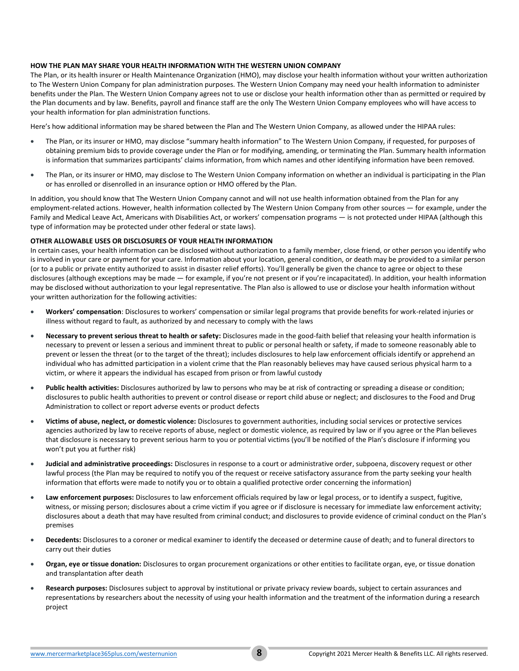# **HOW THE PLAN MAY SHARE YOUR HEALTH INFORMATION WITH THE WESTERN UNION COMPANY**

The Plan, or its health insurer or Health Maintenance Organization (HMO), may disclose your health information without your written authorization to The Western Union Company for plan administration purposes. The Western Union Company may need your health information to administer benefits under the Plan. The Western Union Company agrees not to use or disclose your health information other than as permitted or required by the Plan documents and by law. Benefits, payroll and finance staff are the only The Western Union Company employees who will have access to your health information for plan administration functions.

Here's how additional information may be shared between the Plan and The Western Union Company, as allowed under the HIPAA rules:

- The Plan, or its insurer or HMO, may disclose "summary health information" to The Western Union Company, if requested, for purposes of obtaining premium bids to provide coverage under the Plan or for modifying, amending, or terminating the Plan. Summary health information is information that summarizes participants' claims information, from which names and other identifying information have been removed.
- The Plan, or its insurer or HMO, may disclose to The Western Union Company information on whether an individual is participating in the Plan or has enrolled or disenrolled in an insurance option or HMO offered by the Plan.

In addition, you should know that The Western Union Company cannot and will not use health information obtained from the Plan for any employment-related actions. However, health information collected by The Western Union Company from other sources — for example, under the Family and Medical Leave Act, Americans with Disabilities Act, or workers' compensation programs — is not protected under HIPAA (although this type of information may be protected under other federal or state laws).

## **OTHER ALLOWABLE USES OR DISCLOSURES OF YOUR HEALTH INFORMATION**

In certain cases, your health information can be disclosed without authorization to a family member, close friend, or other person you identify who is involved in your care or payment for your care. Information about your location, general condition, or death may be provided to a similar person (or to a public or private entity authorized to assist in disaster relief efforts). You'll generally be given the chance to agree or object to these disclosures (although exceptions may be made — for example, if you're not present or if you're incapacitated). In addition, your health information may be disclosed without authorization to your legal representative. The Plan also is allowed to use or disclose your health information without your written authorization for the following activities:

- **Workers' compensation**: Disclosures to workers' compensation or similar legal programs that provide benefits for work-related injuries or illness without regard to fault, as authorized by and necessary to comply with the laws
- **Necessary to prevent serious threat to health or safety:** Disclosures made in the good-faith belief that releasing your health information is necessary to prevent or lessen a serious and imminent threat to public or personal health or safety, if made to someone reasonably able to prevent or lessen the threat (or to the target of the threat); includes disclosures to help law enforcement officials identify or apprehend an individual who has admitted participation in a violent crime that the Plan reasonably believes may have caused serious physical harm to a victim, or where it appears the individual has escaped from prison or from lawful custody
- **Public health activities:** Disclosures authorized by law to persons who may be at risk of contracting or spreading a disease or condition; disclosures to public health authorities to prevent or control disease or report child abuse or neglect; and disclosures to the Food and Drug Administration to collect or report adverse events or product defects
- **Victims of abuse, neglect, or domestic violence:** Disclosures to government authorities, including social services or protective services agencies authorized by law to receive reports of abuse, neglect or domestic violence, as required by law or if you agree or the Plan believes that disclosure is necessary to prevent serious harm to you or potential victims (you'll be notified of the Plan's disclosure if informing you won't put you at further risk)
- **Judicial and administrative proceedings:** Disclosures in response to a court or administrative order, subpoena, discovery request or other lawful process (the Plan may be required to notify you of the request or receive satisfactory assurance from the party seeking your health information that efforts were made to notify you or to obtain a qualified protective order concerning the information)
- **Law enforcement purposes:** Disclosures to law enforcement officials required by law or legal process, or to identify a suspect, fugitive, witness, or missing person; disclosures about a crime victim if you agree or if disclosure is necessary for immediate law enforcement activity; disclosures about a death that may have resulted from criminal conduct; and disclosures to provide evidence of criminal conduct on the Plan's premises
- **Decedents:** Disclosures to a coroner or medical examiner to identify the deceased or determine cause of death; and to funeral directors to carry out their duties
- **Organ, eye or tissue donation:** Disclosures to organ procurement organizations or other entities to facilitate organ, eye, or tissue donation and transplantation after death
- **Research purposes:** Disclosures subject to approval by institutional or private privacy review boards, subject to certain assurances and representations by researchers about the necessity of using your health information and the treatment of the information during a research project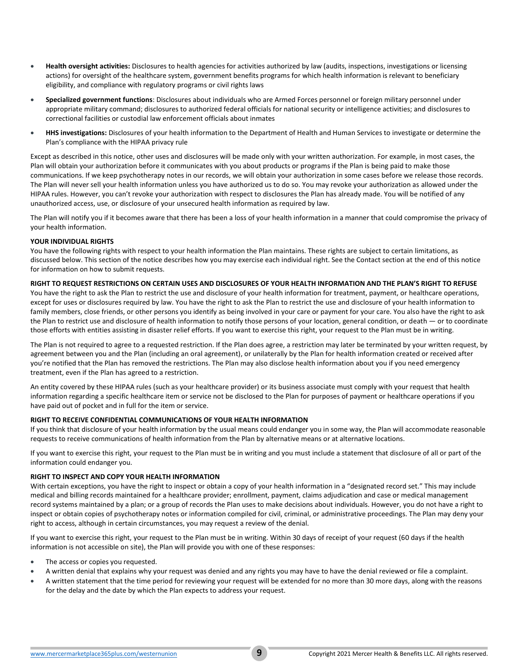- **Health oversight activities:** Disclosures to health agencies for activities authorized by law (audits, inspections, investigations or licensing actions) for oversight of the healthcare system, government benefits programs for which health information is relevant to beneficiary eligibility, and compliance with regulatory programs or civil rights laws
- **Specialized government functions**: Disclosures about individuals who are Armed Forces personnel or foreign military personnel under appropriate military command; disclosures to authorized federal officials for national security or intelligence activities; and disclosures to correctional facilities or custodial law enforcement officials about inmates
- **HHS investigations:** Disclosures of your health information to the Department of Health and Human Services to investigate or determine the Plan's compliance with the HIPAA privacy rule

Except as described in this notice, other uses and disclosures will be made only with your written authorization. For example, in most cases, the Plan will obtain your authorization before it communicates with you about products or programs if the Plan is being paid to make those communications. If we keep psychotherapy notes in our records, we will obtain your authorization in some cases before we release those records. The Plan will never sell your health information unless you have authorized us to do so. You may revoke your authorization as allowed under the HIPAA rules. However, you can't revoke your authorization with respect to disclosures the Plan has already made. You will be notified of any unauthorized access, use, or disclosure of your unsecured health information as required by law.

The Plan will notify you if it becomes aware that there has been a loss of your health information in a manner that could compromise the privacy of your health information.

# **YOUR INDIVIDUAL RIGHTS**

You have the following rights with respect to your health information the Plan maintains. These rights are subject to certain limitations, as discussed below. This section of the notice describes how you may exercise each individual right. See the Contact section at the end of this notice for information on how to submit requests.

# **RIGHT TO REQUEST RESTRICTIONS ON CERTAIN USES AND DISCLOSURES OF YOUR HEALTH INFORMATION AND THE PLAN'S RIGHT TO REFUSE**

You have the right to ask the Plan to restrict the use and disclosure of your health information for treatment, payment, or healthcare operations, except for uses or disclosures required by law. You have the right to ask the Plan to restrict the use and disclosure of your health information to family members, close friends, or other persons you identify as being involved in your care or payment for your care. You also have the right to ask the Plan to restrict use and disclosure of health information to notify those persons of your location, general condition, or death — or to coordinate those efforts with entities assisting in disaster relief efforts. If you want to exercise this right, your request to the Plan must be in writing.

The Plan is not required to agree to a requested restriction. If the Plan does agree, a restriction may later be terminated by your written request, by agreement between you and the Plan (including an oral agreement), or unilaterally by the Plan for health information created or received after you're notified that the Plan has removed the restrictions. The Plan may also disclose health information about you if you need emergency treatment, even if the Plan has agreed to a restriction.

An entity covered by these HIPAA rules (such as your healthcare provider) or its business associate must comply with your request that health information regarding a specific healthcare item or service not be disclosed to the Plan for purposes of payment or healthcare operations if you have paid out of pocket and in full for the item or service.

# **RIGHT TO RECEIVE CONFIDENTIAL COMMUNICATIONS OF YOUR HEALTH INFORMATION**

If you think that disclosure of your health information by the usual means could endanger you in some way, the Plan will accommodate reasonable requests to receive communications of health information from the Plan by alternative means or at alternative locations.

If you want to exercise this right, your request to the Plan must be in writing and you must include a statement that disclosure of all or part of the information could endanger you.

# **RIGHT TO INSPECT AND COPY YOUR HEALTH INFORMATION**

With certain exceptions, you have the right to inspect or obtain a copy of your health information in a "designated record set." This may include medical and billing records maintained for a healthcare provider; enrollment, payment, claims adjudication and case or medical management record systems maintained by a plan; or a group of records the Plan uses to make decisions about individuals. However, you do not have a right to inspect or obtain copies of psychotherapy notes or information compiled for civil, criminal, or administrative proceedings. The Plan may deny your right to access, although in certain circumstances, you may request a review of the denial.

If you want to exercise this right, your request to the Plan must be in writing. Within 30 days of receipt of your request (60 days if the health information is not accessible on site), the Plan will provide you with one of these responses:

- The access or copies you requested.
- A written denial that explains why your request was denied and any rights you may have to have the denial reviewed or file a complaint.
- A written statement that the time period for reviewing your request will be extended for no more than 30 more days, along with the reasons for the delay and the date by which the Plan expects to address your request.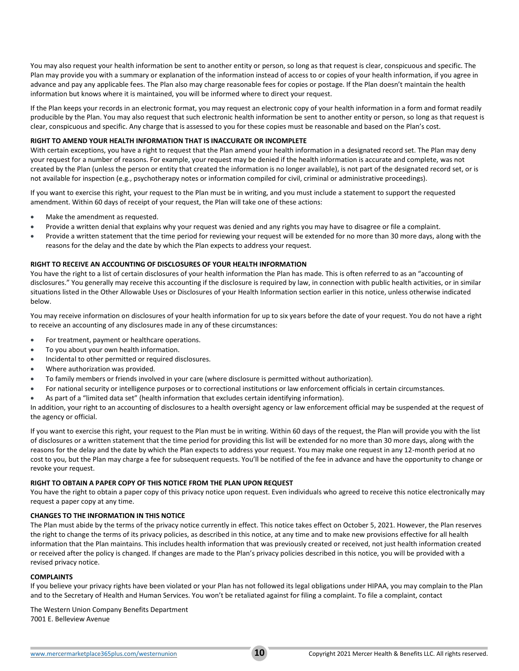You may also request your health information be sent to another entity or person, so long as that request is clear, conspicuous and specific. The Plan may provide you with a summary or explanation of the information instead of access to or copies of your health information, if you agree in advance and pay any applicable fees. The Plan also may charge reasonable fees for copies or postage. If the Plan doesn't maintain the health information but knows where it is maintained, you will be informed where to direct your request.

If the Plan keeps your records in an electronic format, you may request an electronic copy of your health information in a form and format readily producible by the Plan. You may also request that such electronic health information be sent to another entity or person, so long as that request is clear, conspicuous and specific. Any charge that is assessed to you for these copies must be reasonable and based on the Plan's cost.

# **RIGHT TO AMEND YOUR HEALTH INFORMATION THAT IS INACCURATE OR INCOMPLETE**

With certain exceptions, you have a right to request that the Plan amend your health information in a designated record set. The Plan may deny your request for a number of reasons. For example, your request may be denied if the health information is accurate and complete, was not created by the Plan (unless the person or entity that created the information is no longer available), is not part of the designated record set, or is not available for inspection (e.g., psychotherapy notes or information compiled for civil, criminal or administrative proceedings).

If you want to exercise this right, your request to the Plan must be in writing, and you must include a statement to support the requested amendment. Within 60 days of receipt of your request, the Plan will take one of these actions:

- Make the amendment as requested.
- Provide a written denial that explains why your request was denied and any rights you may have to disagree or file a complaint.
- Provide a written statement that the time period for reviewing your request will be extended for no more than 30 more days, along with the reasons for the delay and the date by which the Plan expects to address your request.

# **RIGHT TO RECEIVE AN ACCOUNTING OF DISCLOSURES OF YOUR HEALTH INFORMATION**

You have the right to a list of certain disclosures of your health information the Plan has made. This is often referred to as an "accounting of disclosures." You generally may receive this accounting if the disclosure is required by law, in connection with public health activities, or in similar situations listed in the Other Allowable Uses or Disclosures of your Health Information section earlier in this notice, unless otherwise indicated below.

You may receive information on disclosures of your health information for up to six years before the date of your request. You do not have a right to receive an accounting of any disclosures made in any of these circumstances:

- For treatment, payment or healthcare operations.
- To you about your own health information.
- Incidental to other permitted or required disclosures.
- Where authorization was provided.
- To family members or friends involved in your care (where disclosure is permitted without authorization).
- For national security or intelligence purposes or to correctional institutions or law enforcement officials in certain circumstances.
- As part of a "limited data set" (health information that excludes certain identifying information).

In addition, your right to an accounting of disclosures to a health oversight agency or law enforcement official may be suspended at the request of the agency or official.

If you want to exercise this right, your request to the Plan must be in writing. Within 60 days of the request, the Plan will provide you with the list of disclosures or a written statement that the time period for providing this list will be extended for no more than 30 more days, along with the reasons for the delay and the date by which the Plan expects to address your request. You may make one request in any 12-month period at no cost to you, but the Plan may charge a fee for subsequent requests. You'll be notified of the fee in advance and have the opportunity to change or revoke your request.

## **RIGHT TO OBTAIN A PAPER COPY OF THIS NOTICE FROM THE PLAN UPON REQUEST**

You have the right to obtain a paper copy of this privacy notice upon request. Even individuals who agreed to receive this notice electronically may request a paper copy at any time.

# **CHANGES TO THE INFORMATION IN THIS NOTICE**

The Plan must abide by the terms of the privacy notice currently in effect. This notice takes effect on October 5, 2021. However, the Plan reserves the right to change the terms of its privacy policies, as described in this notice, at any time and to make new provisions effective for all health information that the Plan maintains. This includes health information that was previously created or received, not just health information created or received after the policy is changed. If changes are made to the Plan's privacy policies described in this notice, you will be provided with a revised privacy notice.

## **COMPLAINTS**

If you believe your privacy rights have been violated or your Plan has not followed its legal obligations under HIPAA, you may complain to the Plan and to the Secretary of Health and Human Services. You won't be retaliated against for filing a complaint. To file a complaint, contact

The Western Union Company Benefits Department 7001 E. Belleview Avenue